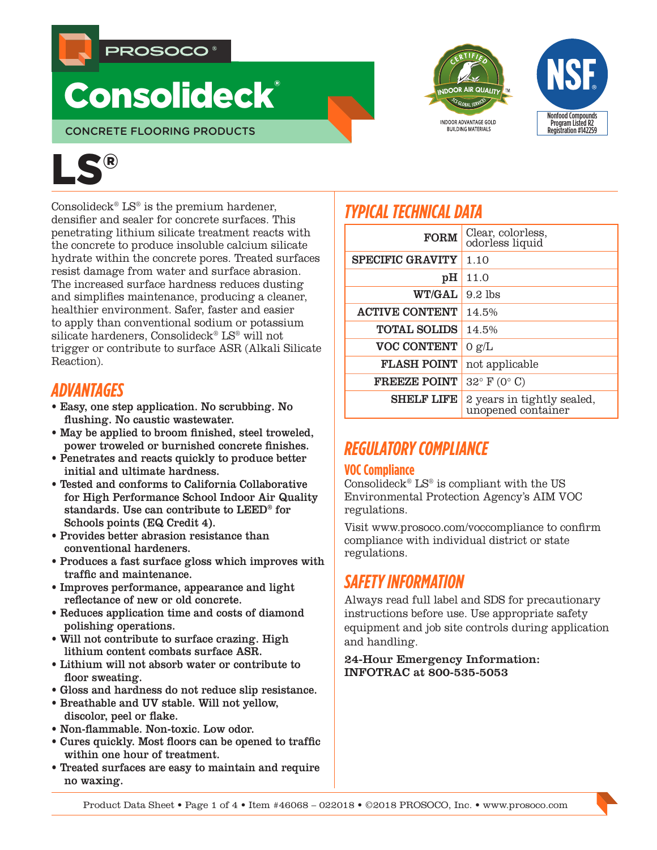

# **Consolideck®**

CONCRETE FLOORING PRODUCTS



Consolideck<sup>®</sup> LS<sup>®</sup> is the premium hardener, densifier and sealer for concrete surfaces. This penetrating lithium silicate treatment reacts with the concrete to produce insoluble calcium silicate hydrate within the concrete pores. Treated surfaces resist damage from water and surface abrasion. The increased surface hardness reduces dusting and simplifies maintenance, producing a cleaner, healthier environment. Safer, faster and easier to apply than conventional sodium or potassium silicate hardeners, Consolideck® LS® will not trigger or contribute to surface ASR (Alkali Silicate Reaction).

# *ADVANTAGES*

- Easy, one step application. No scrubbing. No flushing. No caustic wastewater.
- May be applied to broom finished, steel troweled, power troweled or burnished concrete finishes.
- Penetrates and reacts quickly to produce better initial and ultimate hardness.
- Tested and conforms to California Collaborative for High Performance School Indoor Air Quality standards. Use can contribute to LEED® for Schools points (EQ Credit 4).
- Provides better abrasion resistance than conventional hardeners.
- Produces a fast surface gloss which improves with traffic and maintenance.
- Improves performance, appearance and light reflectance of new or old concrete.
- Reduces application time and costs of diamond polishing operations.
- Will not contribute to surface crazing. High lithium content combats surface ASR.
- Lithium will not absorb water or contribute to floor sweating.
- Gloss and hardness do not reduce slip resistance.
- Breathable and UV stable. Will not yellow, discolor, peel or flake.
- Non-flammable. Non-toxic. Low odor.
- Cures quickly. Most floors can be opened to traffic within one hour of treatment.
- Treated surfaces are easy to maintain and require no waxing.



| <b>FORM</b>             | Clear, colorless,<br>odorless liquid             |
|-------------------------|--------------------------------------------------|
| <b>SPECIFIC GRAVITY</b> | 1.10                                             |
| pH                      | 11.0                                             |
| <b>WT/GAL</b>           | $9.2$ lbs                                        |
| <b>ACTIVE CONTENT</b>   | 14.5%                                            |
| <b>TOTAL SOLIDS</b>     | 14.5%                                            |
| <b>VOC CONTENT</b>      | 0 g/L                                            |
| <b>FLASH POINT</b>      | not applicable                                   |
| <b>FREEZE POINT</b>     | $32^{\circ}$ F (0° C)                            |
| <b>SHELF LIFE</b>       | 2 years in tightly sealed,<br>unopened container |

**INDOOR ADVANTAGE GOLD BUILDING MATERIALS** 

Nonfood Compounds Program Listed R2 Registration #142259

# *REGULATORY COMPLIANCE*

#### **VOC Compliance**

Consolideck<sup>®</sup> LS<sup>®</sup> is compliant with the US Environmental Protection Agency's AIM VOC regulations.

Visit www.prosoco.com/voccompliance to confirm compliance with individual district or state regulations.

# *SAFETY INFORMATION*

Always read full label and SDS for precautionary instructions before use. Use appropriate safety equipment and job site controls during application and handling.

24-Hour Emergency Information: INFOTRAC at 800-535-5053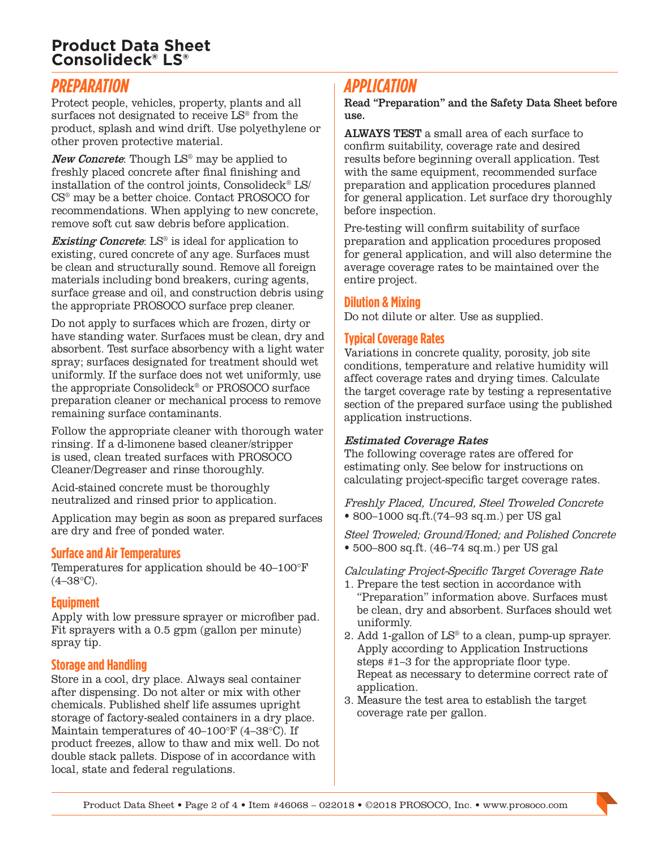## **Product Data Sheet Consolideck® LS®**

# *PREPARATION*

Protect people, vehicles, property, plants and all surfaces not designated to receive LS® from the product, splash and wind drift. Use polyethylene or other proven protective material.

New Concrete: Though LS® may be applied to freshly placed concrete after final finishing and installation of the control joints, Consolideck® LS/ CS® may be a better choice. Contact PROSOCO for recommendations. When applying to new concrete, remove soft cut saw debris before application.

**Existing Concrete:**  $LS^{\circ}$  is ideal for application to existing, cured concrete of any age. Surfaces must be clean and structurally sound. Remove all foreign materials including bond breakers, curing agents, surface grease and oil, and construction debris using the appropriate PROSOCO surface prep cleaner.

Do not apply to surfaces which are frozen, dirty or have standing water. Surfaces must be clean, dry and absorbent. Test surface absorbency with a light water spray; surfaces designated for treatment should wet uniformly. If the surface does not wet uniformly, use the appropriate Consolideck® or PROSOCO surface preparation cleaner or mechanical process to remove remaining surface contaminants.

Follow the appropriate cleaner with thorough water rinsing. If a d-limonene based cleaner/stripper is used, clean treated surfaces with PROSOCO Cleaner/Degreaser and rinse thoroughly.

Acid-stained concrete must be thoroughly neutralized and rinsed prior to application.

Application may begin as soon as prepared surfaces are dry and free of ponded water.

#### **Surface and Air Temperatures**

Temperatures for application should be 40–100°F  $(4-38°C)$ .

#### **Equipment**

Apply with low pressure sprayer or microfiber pad. Fit sprayers with a 0.5 gpm (gallon per minute) spray tip.

#### **Storage and Handling**

Store in a cool, dry place. Always seal container after dispensing. Do not alter or mix with other chemicals. Published shelf life assumes upright storage of factory-sealed containers in a dry place. Maintain temperatures of 40–100°F (4–38°C). If product freezes, allow to thaw and mix well. Do not double stack pallets. Dispose of in accordance with local, state and federal regulations.

# *APPLICATION*

Read "Preparation" and the Safety Data Sheet before use.

ALWAYS TEST a small area of each surface to confirm suitability, coverage rate and desired results before beginning overall application. Test with the same equipment, recommended surface preparation and application procedures planned for general application. Let surface dry thoroughly before inspection.

Pre-testing will confirm suitability of surface preparation and application procedures proposed for general application, and will also determine the average coverage rates to be maintained over the entire project.

#### **Dilution & Mixing**

Do not dilute or alter. Use as supplied.

#### **Typical Coverage Rates**

Variations in concrete quality, porosity, job site conditions, temperature and relative humidity will affect coverage rates and drying times. Calculate the target coverage rate by testing a representative section of the prepared surface using the published application instructions.

#### Estimated Coverage Rates

The following coverage rates are offered for estimating only. See below for instructions on calculating project-specific target coverage rates.

Freshly Placed, Uncured, Steel Troweled Concrete • 800–1000 sq.ft.(74–93 sq.m.) per US gal

Steel Troweled; Ground/Honed; and Polished Concrete • 500–800 sq.ft. (46–74 sq.m.) per US gal

Calculating Project-Specific Target Coverage Rate

- 1. Prepare the test section in accordance with "Preparation" information above. Surfaces must be clean, dry and absorbent. Surfaces should wet uniformly.
- 2. Add 1-gallon of LS® to a clean, pump-up sprayer. Apply according to Application Instructions steps #1–3 for the appropriate floor type. Repeat as necessary to determine correct rate of application.
- 3. Measure the test area to establish the target coverage rate per gallon.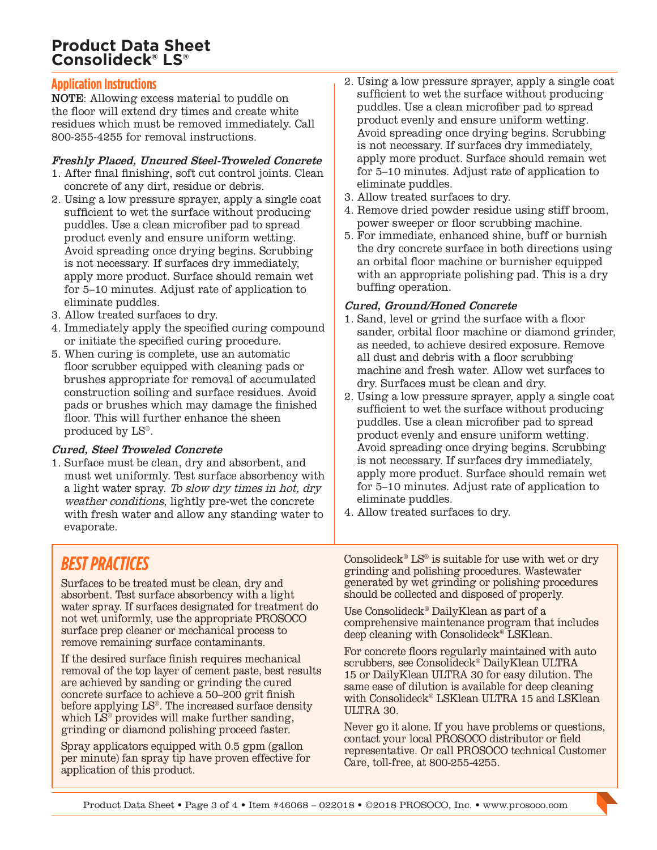## **Product Data Sheet Consolideck® LS®**

#### **Application Instructions**

NOTE: Allowing excess material to puddle on the floor will extend dry times and create white residues which must be removed immediately. Call 800-255-4255 for removal instructions.

#### Freshly Placed, Uncured Steel-Troweled Concrete

- 1. After final finishing, soft cut control joints. Clean concrete of any dirt, residue or debris.
- 2. Using a low pressure sprayer, apply a single coat sufficient to wet the surface without producing puddles. Use a clean microfiber pad to spread product evenly and ensure uniform wetting. Avoid spreading once drying begins. Scrubbing is not necessary. If surfaces dry immediately, apply more product. Surface should remain wet for 5–10 minutes. Adjust rate of application to eliminate puddles.
- 3. Allow treated surfaces to dry.
- 4. Immediately apply the specified curing compound or initiate the specified curing procedure.
- 5. When curing is complete, use an automatic floor scrubber equipped with cleaning pads or brushes appropriate for removal of accumulated construction soiling and surface residues. Avoid pads or brushes which may damage the finished floor. This will further enhance the sheen produced by LS®.

#### Cured, Steel Troweled Concrete

1. Surface must be clean, dry and absorbent, and must wet uniformly. Test surface absorbency with a light water spray. To slow dry times in hot, dry weather conditions, lightly pre-wet the concrete with fresh water and allow any standing water to evaporate.

- 2. Using a low pressure sprayer, apply a single coat sufficient to wet the surface without producing puddles. Use a clean microfiber pad to spread product evenly and ensure uniform wetting. Avoid spreading once drying begins. Scrubbing is not necessary. If surfaces dry immediately, apply more product. Surface should remain wet for 5–10 minutes. Adjust rate of application to eliminate puddles.
- 3. Allow treated surfaces to dry.
- 4. Remove dried powder residue using stiff broom, power sweeper or floor scrubbing machine.
- 5. For immediate, enhanced shine, buff or burnish the dry concrete surface in both directions using an orbital floor machine or burnisher equipped with an appropriate polishing pad. This is a dry buffing operation.

#### Cured, Ground/Honed Concrete

- 1. Sand, level or grind the surface with a floor sander, orbital floor machine or diamond grinder, as needed, to achieve desired exposure. Remove all dust and debris with a floor scrubbing machine and fresh water. Allow wet surfaces to dry. Surfaces must be clean and dry.
- 2. Using a low pressure sprayer, apply a single coat sufficient to wet the surface without producing puddles. Use a clean microfiber pad to spread product evenly and ensure uniform wetting. Avoid spreading once drying begins. Scrubbing is not necessary. If surfaces dry immediately, apply more product. Surface should remain wet for 5–10 minutes. Adjust rate of application to eliminate puddles.
- 4. Allow treated surfaces to dry.

# *BEST PRACTICES*

Surfaces to be treated must be clean, dry and absorbent. Test surface absorbency with a light water spray. If surfaces designated for treatment do not wet uniformly, use the appropriate PROSOCO surface prep cleaner or mechanical process to remove remaining surface contaminants.

If the desired surface finish requires mechanical removal of the top layer of cement paste, best results are achieved by sanding or grinding the cured concrete surface to achieve a 50–200 grit finish before applying LS®. The increased surface density which LS® provides will make further sanding, grinding or diamond polishing proceed faster.

Spray applicators equipped with 0.5 gpm (gallon per minute) fan spray tip have proven effective for application of this product.

Consolideck<sup>®</sup> LS<sup>®</sup> is suitable for use with wet or dry grinding and polishing procedures. Wastewater generated by wet grinding or polishing procedures should be collected and disposed of properly.

Use Consolideck® DailyKlean as part of a comprehensive maintenance program that includes deep cleaning with Consolideck® LSKlean.

For concrete floors regularly maintained with auto scrubbers, see Consolideck® DailyKlean ULTRA 15 or DailyKlean ULTRA 30 for easy dilution. The same ease of dilution is available for deep cleaning with Consolideck® LSKlean ULTRA 15 and LSKlean ULTRA 30.

Never go it alone. If you have problems or questions, contact your local PROSOCO distributor or field representative. Or call PROSOCO technical Customer Care, toll-free, at 800-255-4255.